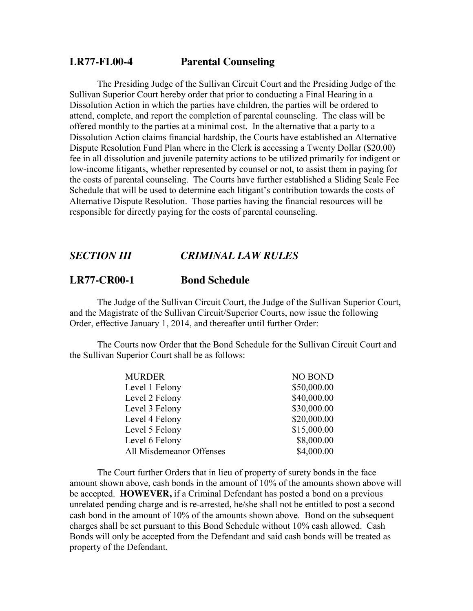## **LR77-FL00-4 Parental Counseling**

The Presiding Judge of the Sullivan Circuit Court and the Presiding Judge of the Sullivan Superior Court hereby order that prior to conducting a Final Hearing in a Dissolution Action in which the parties have children, the parties will be ordered to attend, complete, and report the completion of parental counseling. The class will be offered monthly to the parties at a minimal cost. In the alternative that a party to a Dissolution Action claims financial hardship, the Courts have established an Alternative Dispute Resolution Fund Plan where in the Clerk is accessing a Twenty Dollar (\$20.00) fee in all dissolution and juvenile paternity actions to be utilized primarily for indigent or low-income litigants, whether represented by counsel or not, to assist them in paying for the costs of parental counseling. The Courts have further established a Sliding Scale Fee Schedule that will be used to determine each litigant's contribution towards the costs of Alternative Dispute Resolution. Those parties having the financial resources will be responsible for directly paying for the costs of parental counseling.

## *SECTION III CRIMINAL LAW RULES*

## **LR77-CR00-1 Bond Schedule**

The Judge of the Sullivan Circuit Court, the Judge of the Sullivan Superior Court, and the Magistrate of the Sullivan Circuit/Superior Courts, now issue the following Order, effective January 1, 2014, and thereafter until further Order:

The Courts now Order that the Bond Schedule for the Sullivan Circuit Court and the Sullivan Superior Court shall be as follows:

| <b>NO BOND</b> |
|----------------|
| \$50,000.00    |
| \$40,000.00    |
| \$30,000.00    |
| \$20,000.00    |
| \$15,000.00    |
| \$8,000.00     |
| \$4,000.00     |
|                |

The Court further Orders that in lieu of property of surety bonds in the face amount shown above, cash bonds in the amount of 10% of the amounts shown above will be accepted. **HOWEVER,** if a Criminal Defendant has posted a bond on a previous unrelated pending charge and is re-arrested, he/she shall not be entitled to post a second cash bond in the amount of 10% of the amounts shown above. Bond on the subsequent charges shall be set pursuant to this Bond Schedule without 10% cash allowed. Cash Bonds will only be accepted from the Defendant and said cash bonds will be treated as property of the Defendant.